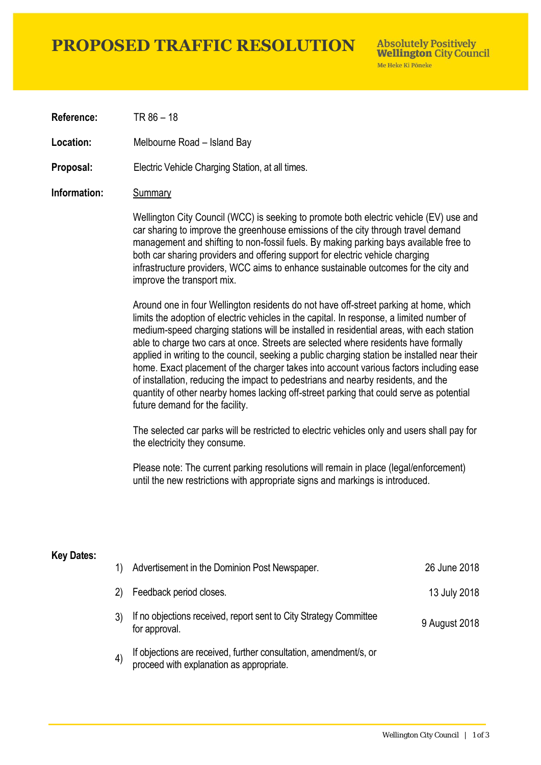## **PROPOSED TRAFFIC RESOLUTION**

**Absolutely Positively Wellington City Council** Me Heke Ki Pôneke

**Reference:** TR 86 – 18

**Location:** Melbourne Road – Island Bay

**Proposal:** Electric Vehicle Charging Station, at all times.

#### **Information:** Summary

Wellington City Council (WCC) is seeking to promote both electric vehicle (EV) use and car sharing to improve the greenhouse emissions of the city through travel demand management and shifting to non-fossil fuels. By making parking bays available free to both car sharing providers and offering support for electric vehicle charging infrastructure providers, WCC aims to enhance sustainable outcomes for the city and improve the transport mix.

Around one in four Wellington residents do not have off-street parking at home, which limits the adoption of electric vehicles in the capital. In response, a limited number of medium-speed charging stations will be installed in residential areas, with each station able to charge two cars at once. Streets are selected where residents have formally applied in writing to the council, seeking a public charging station be installed near their home. Exact placement of the charger takes into account various factors including ease of installation, reducing the impact to pedestrians and nearby residents, and the quantity of other nearby homes lacking off-street parking that could serve as potential future demand for the facility.

The selected car parks will be restricted to electric vehicles only and users shall pay for the electricity they consume.

Please note: The current parking resolutions will remain in place (legal/enforcement) until the new restrictions with appropriate signs and markings is introduced.

#### **Key Dates:**

| 1)                | Advertisement in the Dominion Post Newspaper.                                                                 | 26 June 2018  |
|-------------------|---------------------------------------------------------------------------------------------------------------|---------------|
| 2)                | Feedback period closes.                                                                                       | 13 July 2018  |
|                   | If no objections received, report sent to City Strategy Committee<br>for approval.                            | 9 August 2018 |
| $\left( 4\right)$ | If objections are received, further consultation, amendment/s, or<br>proceed with explanation as appropriate. |               |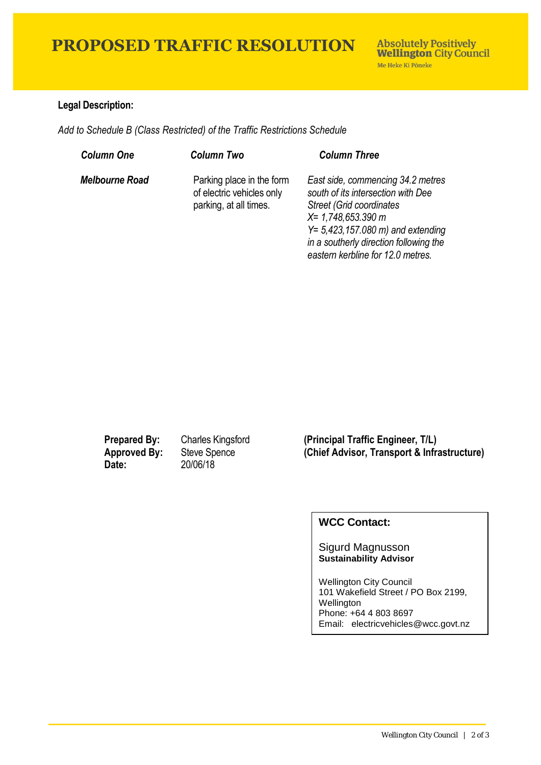# **PROPOSED TRAFFIC RESOLUTION**

### **Legal Description:**

*Add to Schedule B (Class Restricted) of the Traffic Restrictions Schedule* 

| <b>Column One</b>     | <b>Column Two</b>                                                                | <b>Column Three</b>                                                                                                                                                                                                                                                |
|-----------------------|----------------------------------------------------------------------------------|--------------------------------------------------------------------------------------------------------------------------------------------------------------------------------------------------------------------------------------------------------------------|
| <b>Melbourne Road</b> | Parking place in the form<br>of electric vehicles only<br>parking, at all times. | East side, commencing 34.2 metres<br>south of its intersection with Dee<br><b>Street (Grid coordinates)</b><br>$X = 1,748,653.390 m$<br>$Y = 5,423,157.080 \text{ m}$ and extending<br>in a southerly direction following the<br>eastern kerbline for 12.0 metres. |

**Date:** 20/06/18

**Prepared By:** Charles Kingsford **(Principal Traffic Engineer, T/L) Approved By:** Steve Spence **(Chief Advisor, Transport & Infrastructure)**

### **WCC Contact:**

Sigurd Magnusson **Sustainability Advisor**

Wellington City Council 101 Wakefield Street / PO Box 2199, Wellington Phone: +64 4 803 8697 Email: electricvehicles@wcc.govt.nz